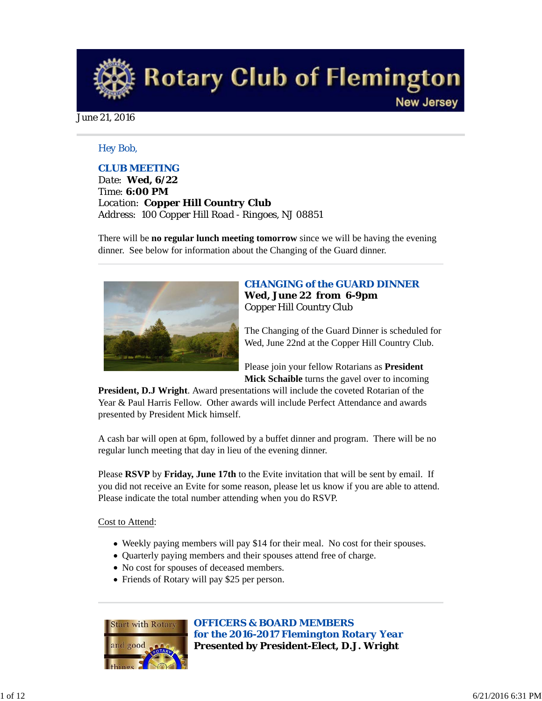**Rotary Club of Flemington New Jersey** 

June 21, 2016

### *Hey Bob,*

### *CLUB MEETING*

*Date: Wed, 6/22 Time: 6:00 PM Location: Copper Hill Country Club Address: 100 Copper Hill Road - Ringoes, NJ 08851*

There will be **no regular lunch meeting tomorrow** since we will be having the evening dinner. See below for information about the Changing of the Guard dinner.



### *CHANGING of the GUARD DINNER* **Wed, June 22 from 6-9pm** Copper Hill Country Club

The Changing of the Guard Dinner is scheduled for Wed, June 22nd at the Copper Hill Country Club.

Please join your fellow Rotarians as **President Mick Schaible** turns the gavel over to incoming

**President, D.J Wright**. Award presentations will include the coveted Rotarian of the Year & Paul Harris Fellow. Other awards will include Perfect Attendance and awards presented by President Mick himself.

A cash bar will open at 6pm, followed by a buffet dinner and program. There will be no regular lunch meeting that day in lieu of the evening dinner.

Please **RSVP** by **Friday, June 17th** to the Evite invitation that will be sent by email. If you did not receive an Evite for some reason, please let us know if you are able to attend. Please indicate the total number attending when you do RSVP.

### Cost to Attend:

- Weekly paying members will pay \$14 for their meal. No cost for their spouses.
- Quarterly paying members and their spouses attend free of charge.
- No cost for spouses of deceased members.
- Friends of Rotary will pay \$25 per person.



*OFFICERS & BOARD MEMBERS for the 2016-2017 Flemington Rotary Year* **Presented by President-Elect, D.J. Wright**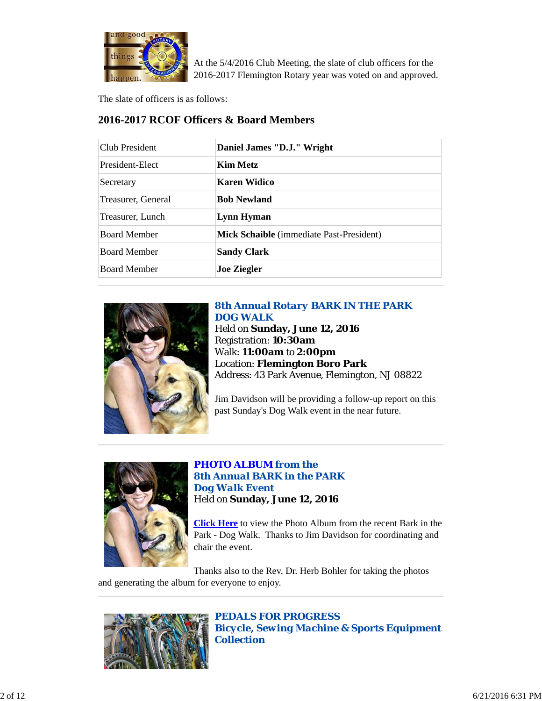

At the 5/4/2016 Club Meeting, the slate of club officers for the 2016-2017 Flemington Rotary year was voted on and approved.

The slate of officers is as follows:

# **2016-2017 RCOF Officers & Board Members**

| Club President      | Daniel James "D.J." Wright               |
|---------------------|------------------------------------------|
| President-Elect     | Kim Metz                                 |
| Secretary           | Karen Widico                             |
| Treasurer, General  | <b>Bob Newland</b>                       |
| Treasurer, Lunch    | Lynn Hyman                               |
| <b>Board Member</b> | Mick Schaible (immediate Past-President) |
| <b>Board Member</b> | <b>Sandy Clark</b>                       |
| <b>Board Member</b> | <b>Joe Ziegler</b>                       |



*8th Annual Rotary BARK IN THE PARK DOG WALK* Held on **Sunday, June 12, 2016** Registration: **10:30am** Walk: **11:00am** to **2:00pm** Location: **Flemington Boro Park** Address: 43 Park Avenue, Flemington, NJ 08822

Jim Davidson will be providing a follow-up report on this past Sunday's Dog Walk event in the near future.



*PHOTO ALBUM from the 8th Annual BARK in the PARK Dog Walk Event* Held on **Sunday, June 12, 2016**

**Click Here** to view the Photo Album from the recent Bark in the Park - Dog Walk. Thanks to Jim Davidson for coordinating and chair the event.

Thanks also to the Rev. Dr. Herb Bohler for taking the photos and generating the album for everyone to enjoy.



*PEDALS FOR PROGRESS Bicycle, Sewing Machine & Sports Equipment Collection*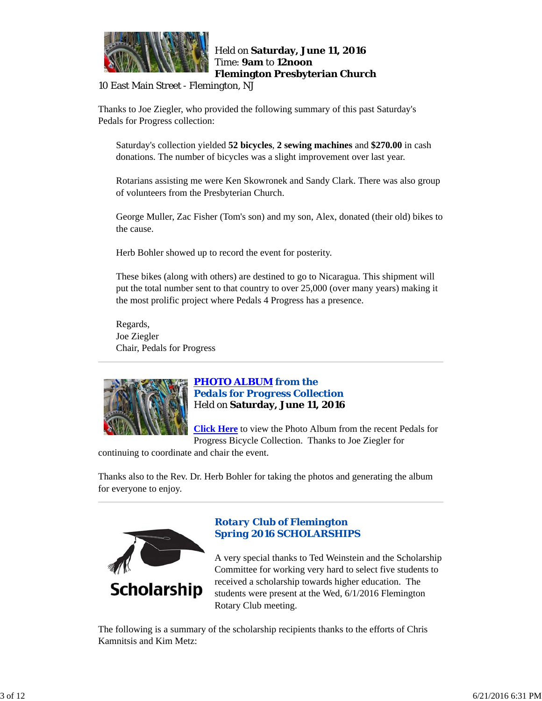

### Held on **Saturday, June 11, 2016** Time: **9am** to **12noon Flemington Presbyterian Church**

10 East Main Street - Flemington, NJ

Thanks to Joe Ziegler, who provided the following summary of this past Saturday's Pedals for Progress collection:

Saturday's collection yielded **52 bicycles**, **2 sewing machines** and **\$270.00** in cash donations. The number of bicycles was a slight improvement over last year.

Rotarians assisting me were Ken Skowronek and Sandy Clark. There was also group of volunteers from the Presbyterian Church.

George Muller, Zac Fisher (Tom's son) and my son, Alex, donated (their old) bikes to the cause.

Herb Bohler showed up to record the event for posterity.

These bikes (along with others) are destined to go to Nicaragua. This shipment will put the total number sent to that country to over 25,000 (over many years) making it the most prolific project where Pedals 4 Progress has a presence.

Regards, Joe Ziegler Chair, Pedals for Progress



## *PHOTO ALBUM from the Pedals for Progress Collection* Held on **Saturday, June 11, 2016**

**Click Here** to view the Photo Album from the recent Pedals for Progress Bicycle Collection. Thanks to Joe Ziegler for

continuing to coordinate and chair the event.

Thanks also to the Rev. Dr. Herb Bohler for taking the photos and generating the album for everyone to enjoy.



# *Rotary Club of Flemington Spring 2016 SCHOLARSHIPS*

A very special thanks to Ted Weinstein and the Scholarship Committee for working very hard to select five students to received a scholarship towards higher education. The students were present at the Wed, 6/1/2016 Flemington Rotary Club meeting.

The following is a summary of the scholarship recipients thanks to the efforts of Chris Kamnitsis and Kim Metz: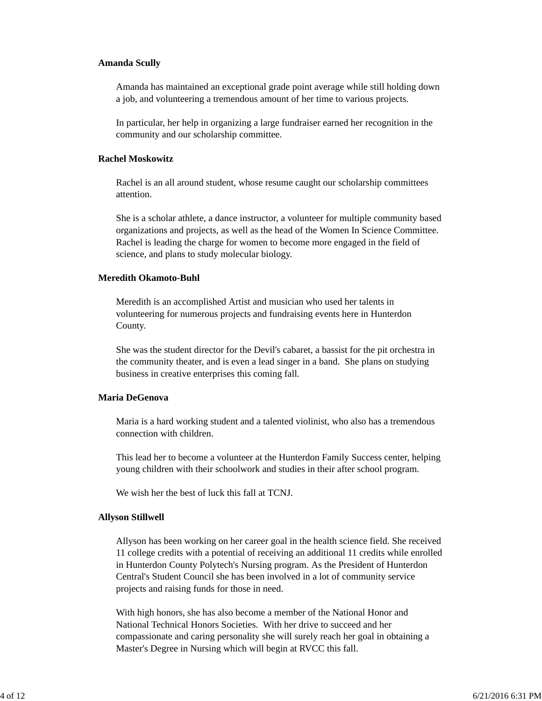### **Amanda Scully**

Amanda has maintained an exceptional grade point average while still holding down a job, and volunteering a tremendous amount of her time to various projects.

In particular, her help in organizing a large fundraiser earned her recognition in the community and our scholarship committee.

### **Rachel Moskowitz**

Rachel is an all around student, whose resume caught our scholarship committees attention.

She is a scholar athlete, a dance instructor, a volunteer for multiple community based organizations and projects, as well as the head of the Women In Science Committee. Rachel is leading the charge for women to become more engaged in the field of science, and plans to study molecular biology.

#### **Meredith Okamoto-Buhl**

Meredith is an accomplished Artist and musician who used her talents in volunteering for numerous projects and fundraising events here in Hunterdon County.

She was the student director for the Devil's cabaret, a bassist for the pit orchestra in the community theater, and is even a lead singer in a band. She plans on studying business in creative enterprises this coming fall.

#### **Maria DeGenova**

Maria is a hard working student and a talented violinist, who also has a tremendous connection with children.

This lead her to become a volunteer at the Hunterdon Family Success center, helping young children with their schoolwork and studies in their after school program.

We wish her the best of luck this fall at TCNJ.

### **Allyson Stillwell**

Allyson has been working on her career goal in the health science field. She received 11 college credits with a potential of receiving an additional 11 credits while enrolled in Hunterdon County Polytech's Nursing program. As the President of Hunterdon Central's Student Council she has been involved in a lot of community service projects and raising funds for those in need.

With high honors, she has also become a member of the National Honor and National Technical Honors Societies. With her drive to succeed and her compassionate and caring personality she will surely reach her goal in obtaining a Master's Degree in Nursing which will begin at RVCC this fall.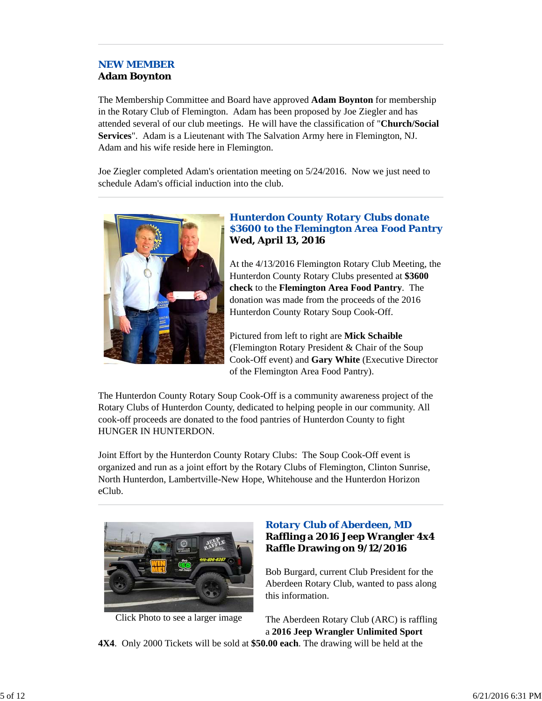# *NEW MEMBER* **Adam Boynton**

The Membership Committee and Board have approved **Adam Boynton** for membership in the Rotary Club of Flemington. Adam has been proposed by Joe Ziegler and has attended several of our club meetings. He will have the classification of "**Church/Social Services**". Adam is a Lieutenant with The Salvation Army here in Flemington, NJ. Adam and his wife reside here in Flemington.

Joe Ziegler completed Adam's orientation meeting on 5/24/2016. Now we just need to schedule Adam's official induction into the club.



# *Hunterdon County Rotary Clubs donate \$3600 to the Flemington Area Food Pantry* **Wed, April 13, 2016**

At the 4/13/2016 Flemington Rotary Club Meeting, the Hunterdon County Rotary Clubs presented at **\$3600 check** to the **Flemington Area Food Pantry**. The donation was made from the proceeds of the 2016 Hunterdon County Rotary Soup Cook-Off.

Pictured from left to right are **Mick Schaible** (Flemington Rotary President & Chair of the Soup Cook-Off event) and **Gary White** (Executive Director of the Flemington Area Food Pantry).

The Hunterdon County Rotary Soup Cook-Off is a community awareness project of the Rotary Clubs of Hunterdon County, dedicated to helping people in our community. All cook-off proceeds are donated to the food pantries of Hunterdon County to fight HUNGER IN HUNTERDON.

Joint Effort by the Hunterdon County Rotary Clubs: The Soup Cook-Off event is organized and run as a joint effort by the Rotary Clubs of Flemington, Clinton Sunrise, North Hunterdon, Lambertville-New Hope, Whitehouse and the Hunterdon Horizon eClub.



Click Photo to see a larger image

# *Rotary Club of Aberdeen, MD* **Raffling a 2016 Jeep Wrangler 4x4 Raffle Drawing on 9/12/2016**

Bob Burgard, current Club President for the Aberdeen Rotary Club, wanted to pass along this information.

The Aberdeen Rotary Club (ARC) is raffling a **2016 Jeep Wrangler Unlimited Sport**

**4X4**. Only 2000 Tickets will be sold at **\$50.00 each**. The drawing will be held at the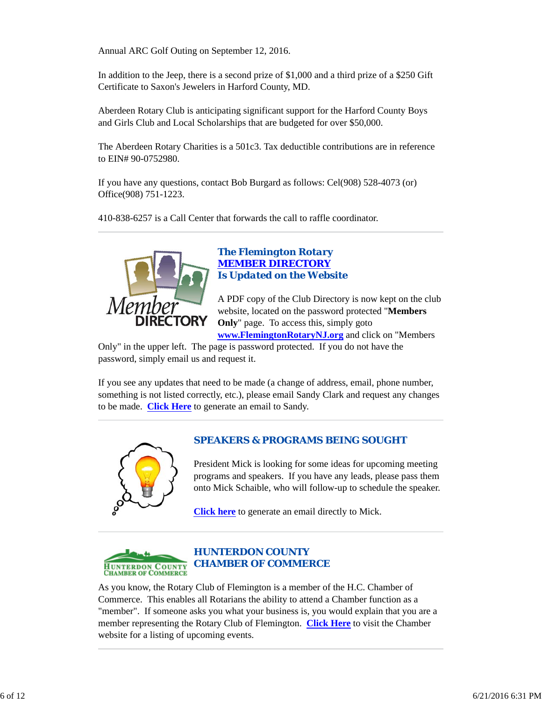Annual ARC Golf Outing on September 12, 2016.

In addition to the Jeep, there is a second prize of \$1,000 and a third prize of a \$250 Gift Certificate to Saxon's Jewelers in Harford County, MD.

Aberdeen Rotary Club is anticipating significant support for the Harford County Boys and Girls Club and Local Scholarships that are budgeted for over \$50,000.

The Aberdeen Rotary Charities is a 501c3. Tax deductible contributions are in reference to EIN# 90-0752980.

If you have any questions, contact Bob Burgard as follows: Cel(908) 528-4073 (or) Office(908) 751-1223.

410-838-6257 is a Call Center that forwards the call to raffle coordinator.



## *The Flemington Rotary MEMBER DIRECTORY Is Updated on the Website*

A PDF copy of the Club Directory is now kept on the club website, located on the password protected "**Members Only**" page. To access this, simply goto

**www.FlemingtonRotaryNJ.org** and click on "Members Only" in the upper left. The page is password protected. If you do not have the password, simply email us and request it.

If you see any updates that need to be made (a change of address, email, phone number, something is not listed correctly, etc.), please email Sandy Clark and request any changes to be made. **Click Here** to generate an email to Sandy.



# *SPEAKERS & PROGRAMS BEING SOUGHT*

President Mick is looking for some ideas for upcoming meeting programs and speakers. If you have any leads, please pass them onto Mick Schaible, who will follow-up to schedule the speaker.

**Click here** to generate an email directly to Mick.



# *HUNTERDON COUNTY CHAMBER OF COMMERCE*

As you know, the Rotary Club of Flemington is a member of the H.C. Chamber of Commerce. This enables all Rotarians the ability to attend a Chamber function as a "member". If someone asks you what your business is, you would explain that you are a member representing the Rotary Club of Flemington. **Click Here** to visit the Chamber website for a listing of upcoming events.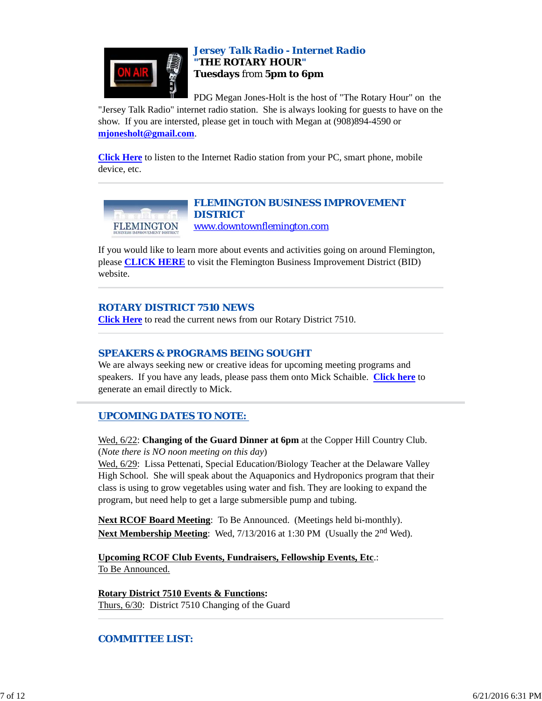

## *Jersey Talk Radio - Internet Radio "THE ROTARY HOUR"* **Tuesdays** from **5pm to 6pm**

PDG Megan Jones-Holt is the host of "The Rotary Hour" on the "Jersey Talk Radio" internet radio station. She is always looking for guests to have on the

show. If you are intersted, please get in touch with Megan at (908)894-4590 or **mjonesholt@gmail.com**.

**Click Here** to listen to the Internet Radio station from your PC, smart phone, mobile device, etc.



*FLEMINGTON BUSINESS IMPROVEMENT DISTRICT* www.downtownflemington.com

If you would like to learn more about events and activities going on around Flemington, please **CLICK HERE** to visit the Flemington Business Improvement District (BID) website.

## *ROTARY DISTRICT 7510 NEWS*

**Click Here** to read the current news from our Rotary District 7510.

## *SPEAKERS & PROGRAMS BEING SOUGHT*

We are always seeking new or creative ideas for upcoming meeting programs and speakers. If you have any leads, please pass them onto Mick Schaible. **Click here** to generate an email directly to Mick.

# *UPCOMING DATES TO NOTE:*

Wed, 6/22: **Changing of the Guard Dinner at 6pm** at the Copper Hill Country Club. (*Note there is NO noon meeting on this day*)

Wed, 6/29: Lissa Pettenati, Special Education/Biology Teacher at the Delaware Valley High School. She will speak about the Aquaponics and Hydroponics program that their class is using to grow vegetables using water and fish. They are looking to expand the program, but need help to get a large submersible pump and tubing.

**Next RCOF Board Meeting**: To Be Announced. (Meetings held bi-monthly). **Next Membership Meeting**: Wed, 7/13/2016 at 1:30 PM (Usually the 2<sup>nd</sup> Wed).

**Upcoming RCOF Club Events, Fundraisers, Fellowship Events, Etc**.: To Be Announced.

**Rotary District 7510 Events & Functions:** Thurs, 6/30: District 7510 Changing of the Guard

## *COMMITTEE LIST:*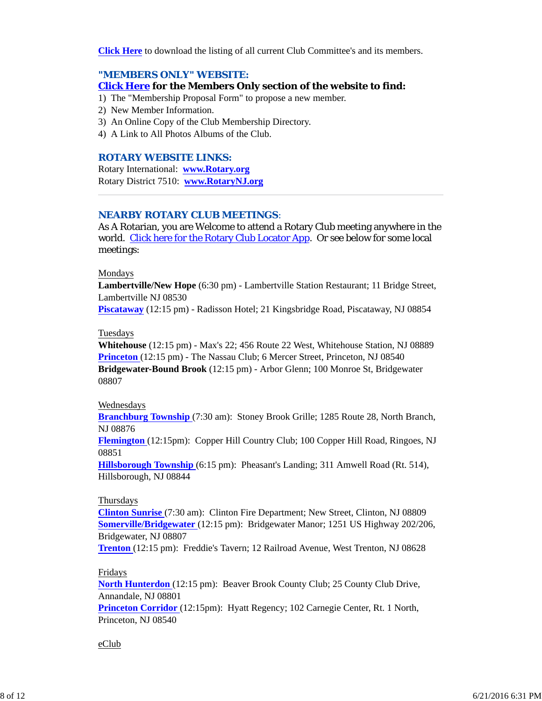**Click Here** to download the listing of all current Club Committee's and its members.

### *"MEMBERS ONLY" WEBSITE:*

**Click Here for the Members Only section of the website to find:**

- 1) The "Membership Proposal Form" to propose a new member.
- 2) New Member Information.
- 3) An Online Copy of the Club Membership Directory.
- 4) A Link to All Photos Albums of the Club.

### *ROTARY WEBSITE LINKS:*

Rotary International: **www.Rotary.org** Rotary District 7510: **www.RotaryNJ.org**

### *NEARBY ROTARY CLUB MEETINGS:*

As A Rotarian, you are Welcome to attend a Rotary Club meeting anywhere in the world. Click here for the Rotary Club Locator App. Or see below for some local meetings:

### Mondays

**Lambertville/New Hope** (6:30 pm) - Lambertville Station Restaurant; 11 Bridge Street, Lambertville NJ 08530

**Piscataway** (12:15 pm) - Radisson Hotel; 21 Kingsbridge Road, Piscataway, NJ 08854

#### Tuesdays

**Whitehouse** (12:15 pm) - Max's 22; 456 Route 22 West, Whitehouse Station, NJ 08889 **Princeton** (12:15 pm) - The Nassau Club; 6 Mercer Street, Princeton, NJ 08540 **Bridgewater-Bound Brook** (12:15 pm) - Arbor Glenn; 100 Monroe St, Bridgewater 08807

#### Wednesdays

**Branchburg Township** (7:30 am): Stoney Brook Grille; 1285 Route 28, North Branch, NJ 08876

**Flemington** (12:15pm): Copper Hill Country Club; 100 Copper Hill Road, Ringoes, NJ 08851

**Hillsborough Township** (6:15 pm): Pheasant's Landing; 311 Amwell Road (Rt. 514), Hillsborough, NJ 08844

### **Thursdays**

**Clinton Sunrise** (7:30 am): Clinton Fire Department; New Street, Clinton, NJ 08809 **Somerville/Bridgewater** (12:15 pm): Bridgewater Manor; 1251 US Highway 202/206, Bridgewater, NJ 08807

**Trenton** (12:15 pm): Freddie's Tavern; 12 Railroad Avenue, West Trenton, NJ 08628

### Fridays

**North Hunterdon** (12:15 pm): Beaver Brook County Club; 25 County Club Drive, Annandale, NJ 08801 **Princeton Corridor** (12:15pm): Hyatt Regency; 102 Carnegie Center, Rt. 1 North, Princeton, NJ 08540

#### eClub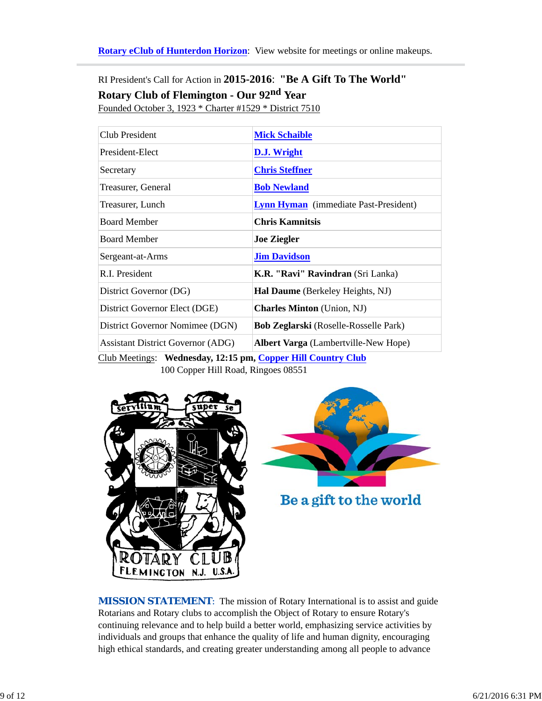**Rotary eClub of Hunterdon Horizon**: View website for meetings or online makeups.

RI President's Call for Action in **2015-2016**: **"Be A Gift To The World" Rotary Club of Flemington - Our 92nd Year** Founded October 3, 1923 \* Charter #1529 \* District 7510

| Club President                           | <b>Mick Schaible</b>                         |
|------------------------------------------|----------------------------------------------|
| President-Elect                          | D.J. Wright                                  |
| Secretary                                | <b>Chris Steffner</b>                        |
| Treasurer, General                       | <b>Bob Newland</b>                           |
| Treasurer, Lunch                         | <b>Lynn Hyman</b> (immediate Past-President) |
| <b>Board Member</b>                      | <b>Chris Kamnitsis</b>                       |
| <b>Board Member</b>                      | <b>Joe Ziegler</b>                           |
| Sergeant-at-Arms                         | <b>Jim Davidson</b>                          |
| R.I. President                           | K.R. "Ravi" Ravindran (Sri Lanka)            |
| District Governor (DG)                   | Hal Daume (Berkeley Heights, NJ)             |
| District Governor Elect (DGE)            | <b>Charles Minton</b> (Union, NJ)            |
| District Governor Nomimee (DGN)          | <b>Bob Zeglarski</b> (Roselle-Rosselle Park) |
| <b>Assistant District Governor (ADG)</b> | <b>Albert Varga</b> (Lambertville-New Hope)  |

Club Meetings: **Wednesday, 12:15 pm, Copper Hill Country Club** 100 Copper Hill Road, Ringoes 08551





*MISSION STATEMENT*: The mission of Rotary International is to assist and guide Rotarians and Rotary clubs to accomplish the Object of Rotary to ensure Rotary's continuing relevance and to help build a better world, emphasizing service activities by individuals and groups that enhance the quality of life and human dignity, encouraging high ethical standards, and creating greater understanding among all people to advance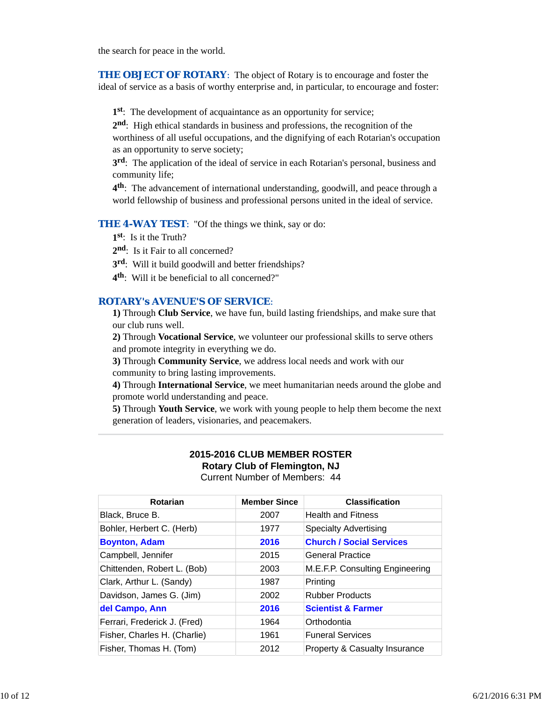the search for peace in the world.

**THE OBJECT OF ROTARY:** The object of Rotary is to encourage and foster the ideal of service as a basis of worthy enterprise and, in particular, to encourage and foster:

**1st**: The development of acquaintance as an opportunity for service;

**2nd**: High ethical standards in business and professions, the recognition of the worthiness of all useful occupations, and the dignifying of each Rotarian's occupation as an opportunity to serve society;

**3rd**: The application of the ideal of service in each Rotarian's personal, business and community life;

**4th**: The advancement of international understanding, goodwill, and peace through a world fellowship of business and professional persons united in the ideal of service.

**THE 4-WAY TEST:** "Of the things we think, say or do:

**1st**: Is it the Truth?

2<sup>nd</sup>: Is it Fair to all concerned?

**3rd**: Will it build goodwill and better friendships?

**4th**: Will it be beneficial to all concerned?"

### *ROTARY's AVENUE'S OF SERVICE*:

**1)** Through **Club Service**, we have fun, build lasting friendships, and make sure that our club runs well.

**2)** Through **Vocational Service**, we volunteer our professional skills to serve others and promote integrity in everything we do.

**3)** Through **Community Service**, we address local needs and work with our community to bring lasting improvements.

**4)** Through **International Service**, we meet humanitarian needs around the globe and promote world understanding and peace.

**5)** Through **Youth Service**, we work with young people to help them become the next generation of leaders, visionaries, and peacemakers.

### **2015-2016 CLUB MEMBER ROSTER Rotary Club of Flemington, NJ** Current Number of Members: 44

| Rotarian                     | <b>Member Since</b> | <b>Classification</b>                    |
|------------------------------|---------------------|------------------------------------------|
| Black, Bruce B.              | 2007                | <b>Health and Fitness</b>                |
| Bohler, Herbert C. (Herb)    | 1977                | <b>Specialty Advertising</b>             |
| <b>Boynton, Adam</b>         | 2016                | <b>Church / Social Services</b>          |
| Campbell, Jennifer           | 2015                | General Practice                         |
| Chittenden, Robert L. (Bob)  | 2003                | M.E.F.P. Consulting Engineering          |
| Clark, Arthur L. (Sandy)     | 1987                | Printing                                 |
| Davidson, James G. (Jim)     | 2002                | <b>Rubber Products</b>                   |
| del Campo, Ann               | 2016                | <b>Scientist &amp; Farmer</b>            |
| Ferrari, Frederick J. (Fred) | 1964                | Orthodontia                              |
| Fisher, Charles H. (Charlie) | 1961                | <b>Funeral Services</b>                  |
| Fisher, Thomas H. (Tom)      | 2012                | <b>Property &amp; Casualty Insurance</b> |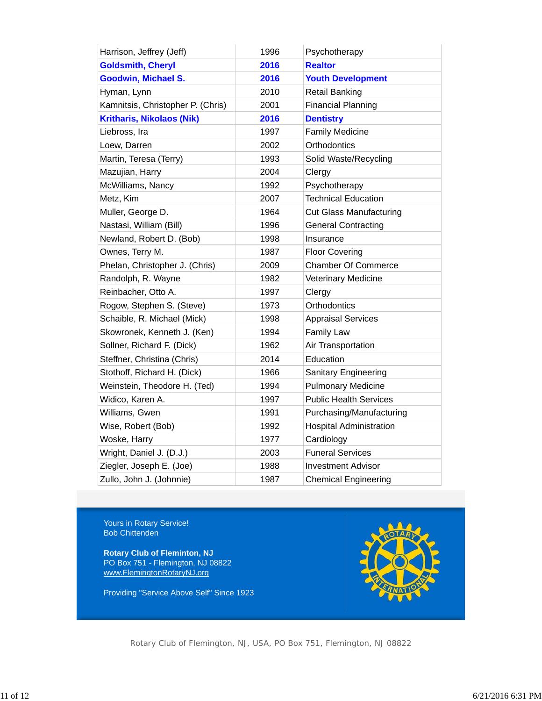| Harrison, Jeffrey (Jeff)          | 1996 | Psychotherapy                  |
|-----------------------------------|------|--------------------------------|
| <b>Goldsmith, Cheryl</b>          | 2016 | <b>Realtor</b>                 |
| Goodwin, Michael S.               | 2016 | <b>Youth Development</b>       |
| Hyman, Lynn                       | 2010 | <b>Retail Banking</b>          |
| Kamnitsis, Christopher P. (Chris) | 2001 | <b>Financial Planning</b>      |
| <b>Kritharis, Nikolaos (Nik)</b>  | 2016 | <b>Dentistry</b>               |
| Liebross, Ira                     | 1997 | <b>Family Medicine</b>         |
| Loew, Darren                      | 2002 | Orthodontics                   |
| Martin, Teresa (Terry)            | 1993 | Solid Waste/Recycling          |
| Mazujian, Harry                   | 2004 | Clergy                         |
| McWilliams, Nancy                 | 1992 | Psychotherapy                  |
| Metz, Kim                         | 2007 | <b>Technical Education</b>     |
| Muller, George D.                 | 1964 | <b>Cut Glass Manufacturing</b> |
| Nastasi, William (Bill)           | 1996 | <b>General Contracting</b>     |
| Newland, Robert D. (Bob)          | 1998 | Insurance                      |
| Ownes, Terry M.                   | 1987 | <b>Floor Covering</b>          |
| Phelan, Christopher J. (Chris)    | 2009 | <b>Chamber Of Commerce</b>     |
| Randolph, R. Wayne                | 1982 | Veterinary Medicine            |
| Reinbacher, Otto A.               | 1997 | Clergy                         |
| Rogow, Stephen S. (Steve)         | 1973 | Orthodontics                   |
| Schaible, R. Michael (Mick)       | 1998 | <b>Appraisal Services</b>      |
| Skowronek, Kenneth J. (Ken)       | 1994 | <b>Family Law</b>              |
| Sollner, Richard F. (Dick)        | 1962 | Air Transportation             |
| Steffner, Christina (Chris)       | 2014 | Education                      |
| Stothoff, Richard H. (Dick)       | 1966 | <b>Sanitary Engineering</b>    |
| Weinstein, Theodore H. (Ted)      | 1994 | <b>Pulmonary Medicine</b>      |
| Widico, Karen A.                  | 1997 | <b>Public Health Services</b>  |
| Williams, Gwen                    | 1991 | Purchasing/Manufacturing       |
| Wise, Robert (Bob)                | 1992 | <b>Hospital Administration</b> |
| Woske, Harry                      | 1977 | Cardiology                     |
| Wright, Daniel J. (D.J.)          | 2003 | <b>Funeral Services</b>        |
| Ziegler, Joseph E. (Joe)          | 1988 | <b>Investment Advisor</b>      |
| Zullo, John J. (Johnnie)          | 1987 | <b>Chemical Engineering</b>    |

Yours in Rotary Service! Bob Chittenden

**Rotary Club of Fleminton, NJ** PO Box 751 - Flemington, NJ 08822 www.FlemingtonRotaryNJ.org

Providing "Service Above Self" Since 1923



Rotary Club of Flemington, NJ, USA, PO Box 751, Flemington, NJ 08822